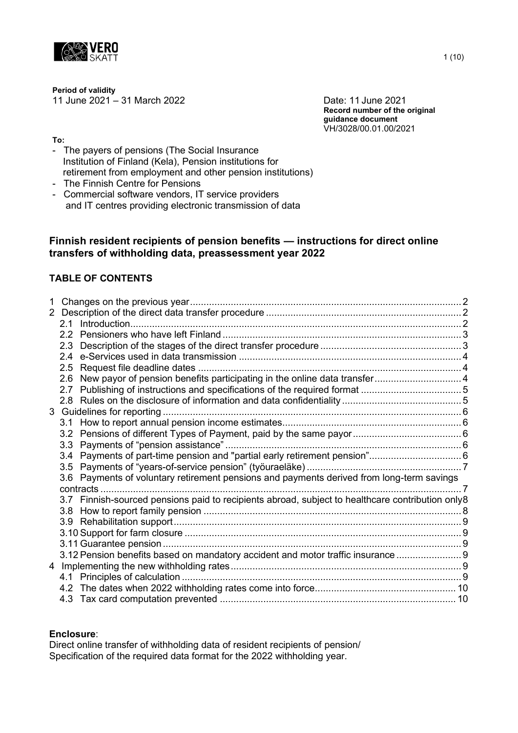

**Period of validity**

11 June 2021 – 31 March 2022 Date: 11 June 2021

**Record number of the original guidance document** VH/3028/00.01.00/2021

**To:**

- The payers of pensions (The Social Insurance Institution of Finland (Kela), Pension institutions for retirement from employment and other pension institutions)
- The Finnish Centre for Pensions
- Commercial software vendors, IT service providers and IT centres providing electronic transmission of data

# **Finnish resident recipients of pension benefits — instructions for direct online transfers of withholding data, preassessment year 2022**

# **TABLE OF CONTENTS**

| 1 |                                                                                                  |  |
|---|--------------------------------------------------------------------------------------------------|--|
|   |                                                                                                  |  |
|   |                                                                                                  |  |
|   |                                                                                                  |  |
|   |                                                                                                  |  |
|   |                                                                                                  |  |
|   |                                                                                                  |  |
|   | 2.6 New payor of pension benefits participating in the online data transfer4                     |  |
|   |                                                                                                  |  |
|   |                                                                                                  |  |
|   |                                                                                                  |  |
|   |                                                                                                  |  |
|   |                                                                                                  |  |
|   |                                                                                                  |  |
|   |                                                                                                  |  |
|   |                                                                                                  |  |
|   | 3.6 Payments of voluntary retirement pensions and payments derived from long-term savings        |  |
|   | contracts                                                                                        |  |
|   | 3.7 Finnish-sourced pensions paid to recipients abroad, subject to healthcare contribution only8 |  |
|   |                                                                                                  |  |
|   |                                                                                                  |  |
|   |                                                                                                  |  |
|   |                                                                                                  |  |
|   | 3.12 Pension benefits based on mandatory accident and motor traffic insurance  9                 |  |
|   |                                                                                                  |  |
|   |                                                                                                  |  |
|   |                                                                                                  |  |
|   |                                                                                                  |  |
|   |                                                                                                  |  |

## **Enclosure**:

Direct online transfer of withholding data of resident recipients of pension/ Specification of the required data format for the 2022 withholding year.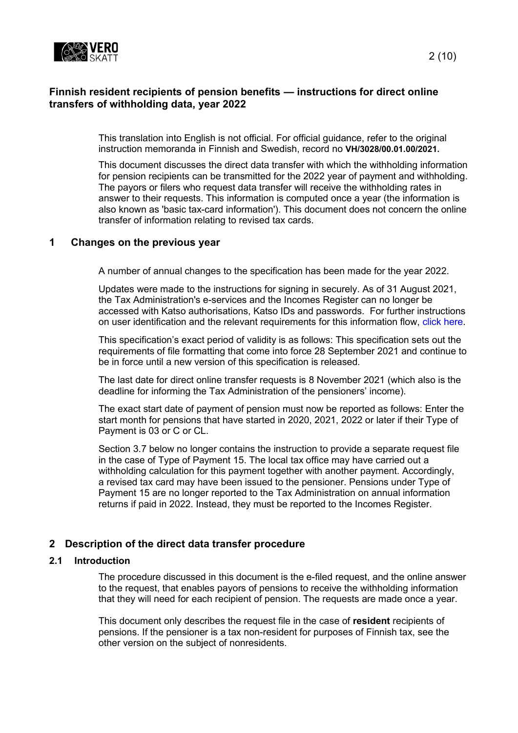

# **Finnish resident recipients of pension benefits — instructions for direct online transfers of withholding data, year 2022**

This translation into English is not official. For official guidance, refer to the original instruction memoranda in Finnish and Swedish, record no **VH/3028/00.01.00/2021.**

This document discusses the direct data transfer with which the withholding information for pension recipients can be transmitted for the 2022 year of payment and withholding. The payors or filers who request data transfer will receive the withholding rates in answer to their requests. This information is computed once a year (the information is also known as 'basic tax-card information'). This document does not concern the online transfer of information relating to revised tax cards.

## <span id="page-1-0"></span>**1 Changes on the previous year**

A number of annual changes to the specification has been made for the year 2022.

Updates were made to the instructions for signing in securely. As of 31 August 2021, the Tax Administration's e-services and the Incomes Register can no longer be accessed with Katso authorisations, Katso IDs and passwords. For further instructions on user identification and the relevant requirements for this information flow, click [here.](https://www.ilmoitin.fi/webtamo/sivut/IlmoituslajiRoolit;jsessionid=3E2A091D1B46C512726DAD05C4B96D3D?kieli=en)

This specification's exact period of validity is as follows: This specification sets out the requirements of file formatting that come into force 28 September 2021 and continue to be in force until a new version of this specification is released.

The last date for direct online transfer requests is 8 November 2021 (which also is the deadline for informing the Tax Administration of the pensioners' income).

The exact start date of payment of pension must now be reported as follows: Enter the start month for pensions that have started in 2020, 2021, 2022 or later if their Type of Payment is 03 or C or CL.

Section 3.7 below no longer contains the instruction to provide a separate request file in the case of Type of Payment 15. The local tax office may have carried out a withholding calculation for this payment together with another payment. Accordingly, a revised tax card may have been issued to the pensioner. Pensions under Type of Payment 15 are no longer reported to the Tax Administration on annual information returns if paid in 2022. Instead, they must be reported to the Incomes Register.

## <span id="page-1-1"></span>**2 Description of the direct data transfer procedure**

#### <span id="page-1-2"></span>**2.1 Introduction**

The procedure discussed in this document is the e-filed request, and the online answer to the request, that enables payors of pensions to receive the withholding information that they will need for each recipient of pension. The requests are made once a year.

This document only describes the request file in the case of **resident** recipients of pensions. If the pensioner is a tax non-resident for purposes of Finnish tax, see the other version on the subject of nonresidents.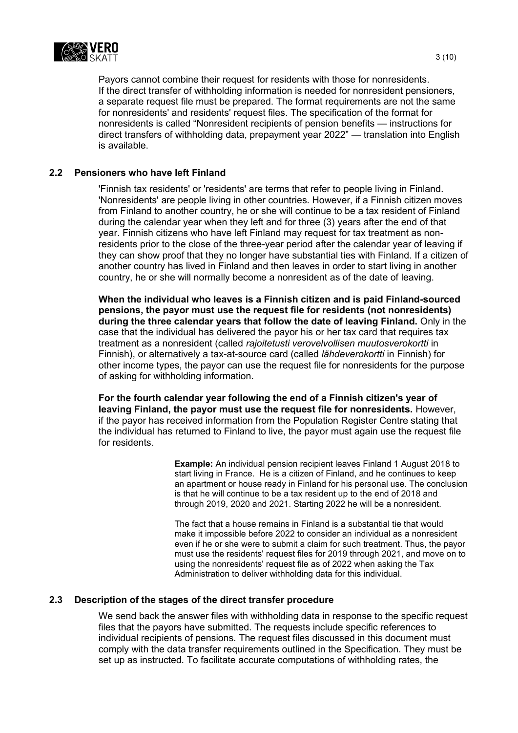

Payors cannot combine their request for residents with those for nonresidents. If the direct transfer of withholding information is needed for nonresident pensioners, a separate request file must be prepared. The format requirements are not the same for nonresidents' and residents' request files. The specification of the format for nonresidents is called "Nonresident recipients of pension benefits — instructions for direct transfers of withholding data, prepayment year 2022" — translation into English is available.

## <span id="page-2-0"></span>**2.2 Pensioners who have left Finland**

'Finnish tax residents' or 'residents' are terms that refer to people living in Finland. 'Nonresidents' are people living in other countries. However, if a Finnish citizen moves from Finland to another country, he or she will continue to be a tax resident of Finland during the calendar year when they left and for three (3) years after the end of that year. Finnish citizens who have left Finland may request for tax treatment as nonresidents prior to the close of the three-year period after the calendar year of leaving if they can show proof that they no longer have substantial ties with Finland. If a citizen of another country has lived in Finland and then leaves in order to start living in another country, he or she will normally become a nonresident as of the date of leaving.

**When the individual who leaves is a Finnish citizen and is paid Finland-sourced pensions, the payor must use the request file for residents (not nonresidents) during the three calendar years that follow the date of leaving Finland.** Only in the case that the individual has delivered the payor his or her tax card that requires tax treatment as a nonresident (called *rajoitetusti verovelvollisen muutosverokortti* in Finnish), or alternatively a tax-at-source card (called *lähdeverokortti* in Finnish) for other income types, the payor can use the request file for nonresidents for the purpose of asking for withholding information.

**For the fourth calendar year following the end of a Finnish citizen's year of leaving Finland, the payor must use the request file for nonresidents.** However, if the payor has received information from the Population Register Centre stating that the individual has returned to Finland to live, the payor must again use the request file for residents.

> **Example:** An individual pension recipient leaves Finland 1 August 2018 to start living in France. He is a citizen of Finland, and he continues to keep an apartment or house ready in Finland for his personal use. The conclusion is that he will continue to be a tax resident up to the end of 2018 and through 2019, 2020 and 2021. Starting 2022 he will be a nonresident.

> The fact that a house remains in Finland is a substantial tie that would make it impossible before 2022 to consider an individual as a nonresident even if he or she were to submit a claim for such treatment. Thus, the payor must use the residents' request files for 2019 through 2021, and move on to using the nonresidents' request file as of 2022 when asking the Tax Administration to deliver withholding data for this individual.

#### <span id="page-2-1"></span>**2.3 Description of the stages of the direct transfer procedure**

We send back the answer files with withholding data in response to the specific request files that the payors have submitted. The requests include specific references to individual recipients of pensions. The request files discussed in this document must comply with the data transfer requirements outlined in the Specification. They must be set up as instructed. To facilitate accurate computations of withholding rates, the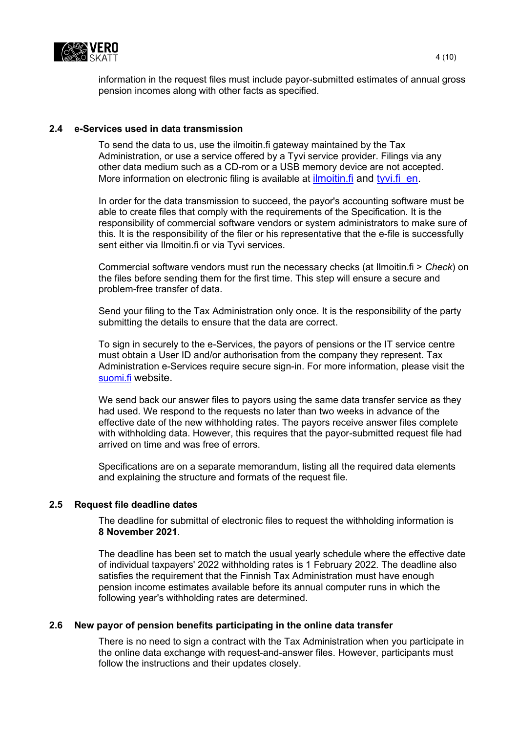

information in the request files must include payor-submitted estimates of annual gross pension incomes along with other facts as specified.

## <span id="page-3-0"></span>**2.4 e-Services used in data transmission**

To send the data to us, use the ilmoitin.fi gateway maintained by the Tax Administration, or use a service offered by a Tyvi service provider. Filings via any other data medium such as a CD-rom or a USB memory device are not accepted. More information on electronic filing is available at ilmoitin fi and tyvi fi en.

In order for the data transmission to succeed, the payor's accounting software must be able to create files that comply with the requirements of the Specification. It is the responsibility of commercial software vendors or system administrators to make sure of this. It is the responsibility of the filer or his representative that the e-file is successfully sent either via Ilmoitin.fi or via Tyvi services.

Commercial software vendors must run the necessary checks (at Ilmoitin.fi > *Check*) on the files before sending them for the first time. This step will ensure a secure and problem-free transfer of data.

Send your filing to the Tax Administration only once. It is the responsibility of the party submitting the details to ensure that the data are correct.

To sign in securely to the e-Services, the payors of pensions or the IT service centre must obtain a User ID and/or authorisation from the company they represent. Tax Administration e-Services require secure sign-in. For more information, please visit the [suomi.fi](https://www.suomi.fi/frontpage) website.

We send back our answer files to payors using the same data transfer service as they had used. We respond to the requests no later than two weeks in advance of the effective date of the new withholding rates. The payors receive answer files complete with withholding data. However, this requires that the payor-submitted request file had arrived on time and was free of errors.

Specifications are on a separate memorandum, listing all the required data elements and explaining the structure and formats of the request file.

#### <span id="page-3-1"></span>**2.5 Request file deadline dates**

The deadline for submittal of electronic files to request the withholding information is **8 November 2021**.

The deadline has been set to match the usual yearly schedule where the effective date of individual taxpayers' 2022 withholding rates is 1 February 2022. The deadline also satisfies the requirement that the Finnish Tax Administration must have enough pension income estimates available before its annual computer runs in which the following year's withholding rates are determined.

#### <span id="page-3-2"></span>**2.6 New payor of pension benefits participating in the online data transfer**

There is no need to sign a contract with the Tax Administration when you participate in the online data exchange with request-and-answer files. However, participants must follow the instructions and their updates closely.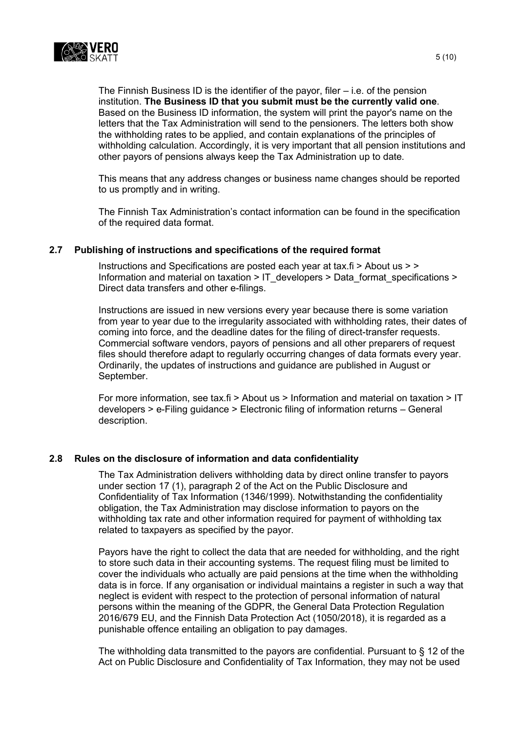

The Finnish Business ID is the identifier of the payor, filer – i.e. of the pension institution. **The Business ID that you submit must be the currently valid one**. Based on the Business ID information, the system will print the payor's name on the letters that the Tax Administration will send to the pensioners. The letters both show the withholding rates to be applied, and contain explanations of the principles of withholding calculation. Accordingly, it is very important that all pension institutions and other payors of pensions always keep the Tax Administration up to date.

This means that any address changes or business name changes should be reported to us promptly and in writing.

The Finnish Tax Administration's contact information can be found in the specification of the required data format.

## <span id="page-4-0"></span>**2.7 Publishing of instructions and specifications of the required format**

Instructions and Specifications are posted each year at tax.fi > About us > > Information and material on taxation > [IT\\_developers](http://www.vero.fi/fi-FI/Syventavat_veroohjeet/Sahkoinen_asiointi/Kehittajat) > [Data\\_format\\_specifications](http://www.vero.fi/fi-FI/Syventavat_veroohjeet/Sahkoinen_asiointi/Kehittajat/Tietuekuvaukset) > [Direct data transfers and other e-filings.](https://www.vero.fi/en/About-us/information_and_material_on_taxatio/it_developer/data-format-specifications/specifications__direct_data_transfers_a/)

Instructions are issued in new versions every year because there is some variation from year to year due to the irregularity associated with withholding rates, their dates of coming into force, and the deadline dates for the filing of direct-transfer requests. Commercial software vendors, payors of pensions and all other preparers of request files should therefore adapt to regularly occurring changes of data formats every year. Ordinarily, the updates of instructions and guidance are published in August or September.

For more information, see tax.fi > About us > Information and material on taxation > IT developers > e-Filing guidance > Electronic filing of information returns – General description.

#### <span id="page-4-1"></span>**2.8 Rules on the disclosure of information and data confidentiality**

The Tax Administration delivers withholding data by direct online transfer to payors under section 17 (1), paragraph 2 of the Act on the Public Disclosure and Confidentiality of Tax Information (1346/1999). Notwithstanding the confidentiality obligation, the Tax Administration may disclose information to payors on the withholding tax rate and other information required for payment of withholding tax related to taxpayers as specified by the payor.

Payors have the right to collect the data that are needed for withholding, and the right to store such data in their accounting systems. The request filing must be limited to cover the individuals who actually are paid pensions at the time when the withholding data is in force. If any organisation or individual maintains a register in such a way that neglect is evident with respect to the protection of personal information of natural persons within the meaning of the GDPR, the General Data Protection Regulation 2016/679 EU, and the Finnish Data Protection Act (1050/2018), it is regarded as a punishable offence entailing an obligation to pay damages.

The withholding data transmitted to the payors are confidential. Pursuant to § 12 of the Act on Public Disclosure and Confidentiality of Tax Information, they may not be used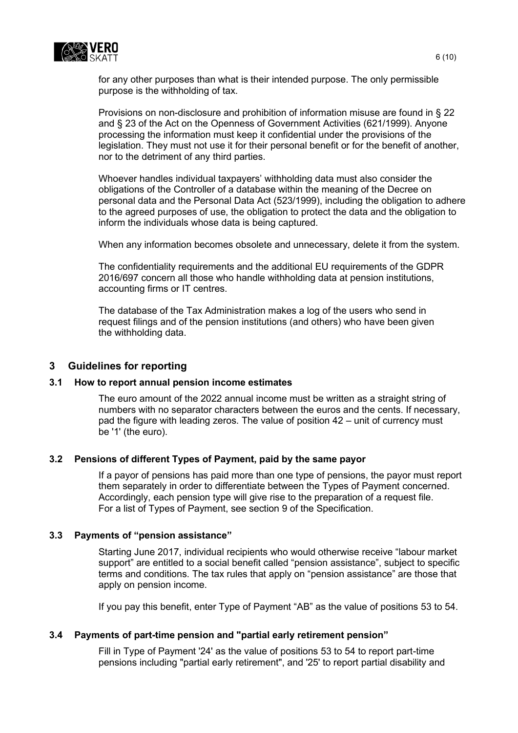

for any other purposes than what is their intended purpose. The only permissible purpose is the withholding of tax.

Provisions on non-disclosure and prohibition of information misuse are found in § 22 and § 23 of the Act on the Openness of Government Activities (621/1999). Anyone processing the information must keep it confidential under the provisions of the legislation. They must not use it for their personal benefit or for the benefit of another, nor to the detriment of any third parties.

Whoever handles individual taxpayers' withholding data must also consider the obligations of the Controller of a database within the meaning of the Decree on personal data and the Personal Data Act (523/1999), including the obligation to adhere to the agreed purposes of use, the obligation to protect the data and the obligation to inform the individuals whose data is being captured.

When any information becomes obsolete and unnecessary, delete it from the system.

The confidentiality requirements and the additional EU requirements of the GDPR 2016/697 concern all those who handle withholding data at pension institutions, accounting firms or IT centres.

The database of the Tax Administration makes a log of the users who send in request filings and of the pension institutions (and others) who have been given the withholding data.

## <span id="page-5-0"></span>**3 Guidelines for reporting**

#### <span id="page-5-1"></span>**3.1 How to report annual pension income estimates**

The euro amount of the 2022 annual income must be written as a straight string of numbers with no separator characters between the euros and the cents. If necessary, pad the figure with leading zeros. The value of position 42 – unit of currency must be '1' (the euro).

#### <span id="page-5-2"></span>**3.2 Pensions of different Types of Payment, paid by the same payor**

If a payor of pensions has paid more than one type of pensions, the payor must report them separately in order to differentiate between the Types of Payment concerned. Accordingly, each pension type will give rise to the preparation of a request file. For a list of Types of Payment, see section 9 of the Specification.

#### <span id="page-5-3"></span>**3.3 Payments of "pension assistance"**

Starting June 2017, individual recipients who would otherwise receive "labour market support" are entitled to a social benefit called "pension assistance", subject to specific terms and conditions. The tax rules that apply on "pension assistance" are those that apply on pension income.

If you pay this benefit, enter Type of Payment "AB" as the value of positions 53 to 54.

## <span id="page-5-4"></span>**3.4 Payments of part-time pension and "partial early retirement pension"**

Fill in Type of Payment '24' as the value of positions 53 to 54 to report part-time pensions including "partial early retirement", and '25' to report partial disability and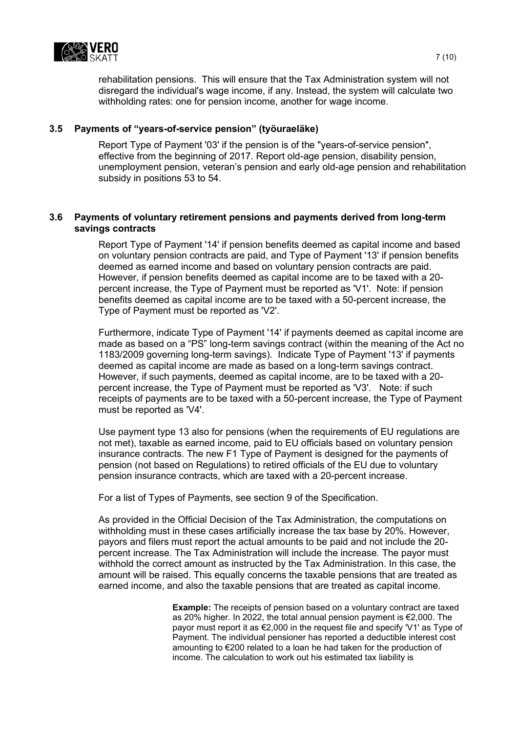

rehabilitation pensions. This will ensure that the Tax Administration system will not disregard the individual's wage income, if any. Instead, the system will calculate two withholding rates: one for pension income, another for wage income.

## <span id="page-6-0"></span>**3.5 Payments of "years-of-service pension" (työuraeläke)**

Report Type of Payment '03' if the pension is of the "years-of-service pension", effective from the beginning of 2017. Report old-age pension, disability pension, unemployment pension, veteran's pension and early old-age pension and rehabilitation subsidy in positions 53 to 54.

## <span id="page-6-1"></span>**3.6 Payments of voluntary retirement pensions and payments derived from long-term savings contracts**

Report Type of Payment '14' if pension benefits deemed as capital income and based on voluntary pension contracts are paid, and Type of Payment '13' if pension benefits deemed as earned income and based on voluntary pension contracts are paid. However, if pension benefits deemed as capital income are to be taxed with a 20 percent increase, the Type of Payment must be reported as 'V1'. Note: if pension benefits deemed as capital income are to be taxed with a 50-percent increase, the Type of Payment must be reported as 'V2'.

Furthermore, indicate Type of Payment '14' if payments deemed as capital income are made as based on a "PS" long-term savings contract (within the meaning of the Act no 1183/2009 governing long-term savings). Indicate Type of Payment '13' if payments deemed as capital income are made as based on a long-term savings contract. However, if such payments, deemed as capital income, are to be taxed with a 20 percent increase, the Type of Payment must be reported as 'V3'. Note: if such receipts of payments are to be taxed with a 50-percent increase, the Type of Payment must be reported as 'V4'.

Use payment type 13 also for pensions (when the requirements of EU regulations are not met), taxable as earned income, paid to EU officials based on voluntary pension insurance contracts. The new F1 Type of Payment is designed for the payments of pension (not based on Regulations) to retired officials of the EU due to voluntary pension insurance contracts, which are taxed with a 20-percent increase.

For a list of Types of Payments, see section 9 of the Specification.

As provided in the Official Decision of the Tax Administration, the computations on withholding must in these cases artificially increase the tax base by 20%. However, payors and filers must report the actual amounts to be paid and not include the 20 percent increase. The Tax Administration will include the increase. The payor must withhold the correct amount as instructed by the Tax Administration. In this case, the amount will be raised. This equally concerns the taxable pensions that are treated as earned income, and also the taxable pensions that are treated as capital income.

> **Example:** The receipts of pension based on a voluntary contract are taxed as 20% higher. In 2022, the total annual pension payment is €2,000. The payor must report it as €2,000 in the request file and specify 'V1' as Type of Payment. The individual pensioner has reported a deductible interest cost amounting to €200 related to a loan he had taken for the production of income. The calculation to work out his estimated tax liability is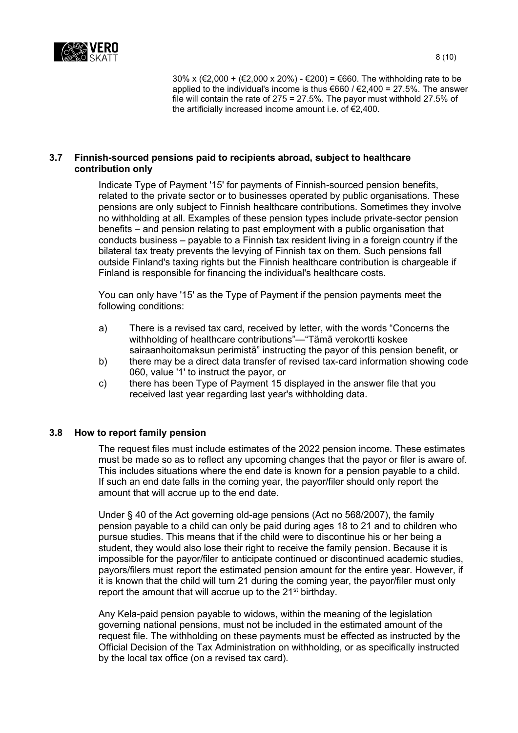

30% x (€2,000 + (€2,000 x 20%) - €200) = €660. The withholding rate to be applied to the individual's income is thus €660 / €2,400 = 27.5%. The answer file will contain the rate of 275 = 27.5%. The payor must withhold 27.5% of the artificially increased income amount i.e. of €2,400.

## <span id="page-7-0"></span>**3.7 Finnish-sourced pensions paid to recipients abroad, subject to healthcare contribution only**

Indicate Type of Payment '15' for payments of Finnish-sourced pension benefits, related to the private sector or to businesses operated by public organisations. These pensions are only subject to Finnish healthcare contributions. Sometimes they involve no withholding at all. Examples of these pension types include private-sector pension benefits – and pension relating to past employment with a public organisation that conducts business – payable to a Finnish tax resident living in a foreign country if the bilateral tax treaty prevents the levying of Finnish tax on them. Such pensions fall outside Finland's taxing rights but the Finnish healthcare contribution is chargeable if Finland is responsible for financing the individual's healthcare costs.

You can only have '15' as the Type of Payment if the pension payments meet the following conditions:

- a) There is a revised tax card, received by letter, with the words "Concerns the withholding of healthcare contributions"—"Tämä verokortti koskee sairaanhoitomaksun perimistä" instructing the payor of this pension benefit, or
- b) there may be a direct data transfer of revised tax-card information showing code 060, value '1' to instruct the payor, or
- c) there has been Type of Payment 15 displayed in the answer file that you received last year regarding last year's withholding data.

## <span id="page-7-1"></span>**3.8 How to report family pension**

The request files must include estimates of the 2022 pension income. These estimates must be made so as to reflect any upcoming changes that the payor or filer is aware of. This includes situations where the end date is known for a pension payable to a child. If such an end date falls in the coming year, the payor/filer should only report the amount that will accrue up to the end date.

Under § 40 of the Act governing old-age pensions (Act no 568/2007), the family pension payable to a child can only be paid during ages 18 to 21 and to children who pursue studies. This means that if the child were to discontinue his or her being a student, they would also lose their right to receive the family pension. Because it is impossible for the payor/filer to anticipate continued or discontinued academic studies, payors/filers must report the estimated pension amount for the entire year. However, if it is known that the child will turn 21 during the coming year, the payor/filer must only report the amount that will accrue up to the  $21<sup>st</sup>$  birthday.

Any Kela-paid pension payable to widows, within the meaning of the legislation governing national pensions, must not be included in the estimated amount of the request file. The withholding on these payments must be effected as instructed by the Official Decision of the Tax Administration on withholding, or as specifically instructed by the local tax office (on a revised tax card).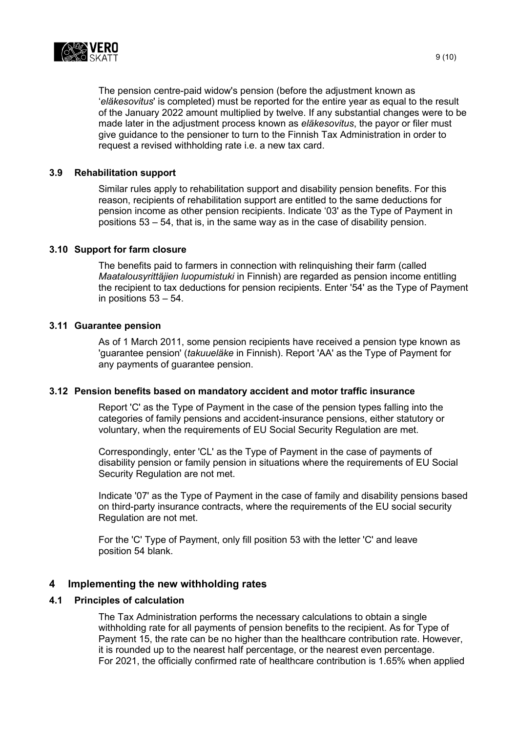

The pension centre-paid widow's pension (before the adjustment known as '*eläkesovitus*' is completed) must be reported for the entire year as equal to the result of the January 2022 amount multiplied by twelve. If any substantial changes were to be made later in the adjustment process known as *eläkesovitus*, the payor or filer must give guidance to the pensioner to turn to the Finnish Tax Administration in order to request a revised withholding rate i.e. a new tax card.

## <span id="page-8-0"></span>**3.9 Rehabilitation support**

Similar rules apply to rehabilitation support and disability pension benefits. For this reason, recipients of rehabilitation support are entitled to the same deductions for pension income as other pension recipients. Indicate '03' as the Type of Payment in positions 53 – 54, that is, in the same way as in the case of disability pension.

## <span id="page-8-1"></span>**3.10 Support for farm closure**

The benefits paid to farmers in connection with relinquishing their farm (called *Maatalousyrittäjien luopumistuki* in Finnish) are regarded as pension income entitling the recipient to tax deductions for pension recipients. Enter '54' as the Type of Payment in positions 53 – 54.

## <span id="page-8-2"></span>**3.11 Guarantee pension**

As of 1 March 2011, some pension recipients have received a pension type known as 'guarantee pension' (*takuueläke* in Finnish). Report 'AA' as the Type of Payment for any payments of guarantee pension.

#### <span id="page-8-3"></span>**3.12 Pension benefits based on mandatory accident and motor traffic insurance**

Report 'C' as the Type of Payment in the case of the pension types falling into the categories of family pensions and accident-insurance pensions, either statutory or voluntary, when the requirements of EU Social Security Regulation are met.

Correspondingly, enter 'CL' as the Type of Payment in the case of payments of disability pension or family pension in situations where the requirements of EU Social Security Regulation are not met.

Indicate '07' as the Type of Payment in the case of family and disability pensions based on third-party insurance contracts, where the requirements of the EU social security Regulation are not met.

For the 'C' Type of Payment, only fill position 53 with the letter 'C' and leave position 54 blank.

## <span id="page-8-4"></span>**4 Implementing the new withholding rates**

#### <span id="page-8-5"></span>**4.1 Principles of calculation**

The Tax Administration performs the necessary calculations to obtain a single withholding rate for all payments of pension benefits to the recipient. As for Type of Payment 15, the rate can be no higher than the healthcare contribution rate. However, it is rounded up to the nearest half percentage, or the nearest even percentage. For 2021, the officially confirmed rate of healthcare contribution is 1.65% when applied